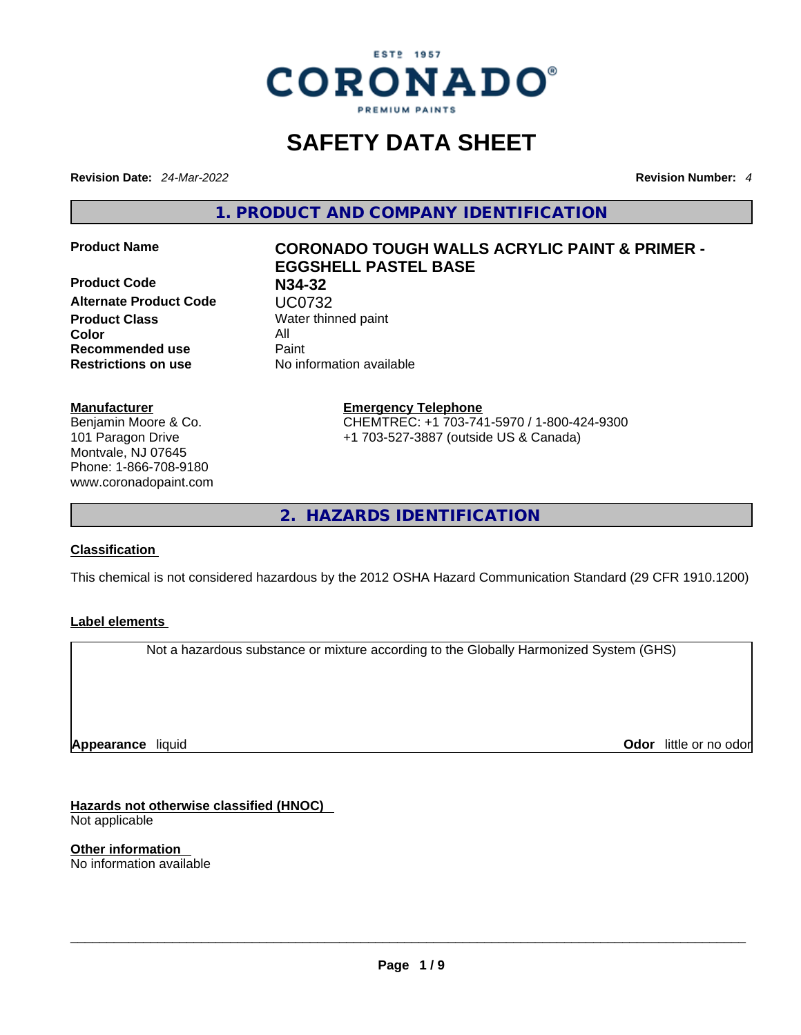

# **SAFETY DATA SHEET**

**Revision Date:** *24-Mar-2022* **Revision Number:** *4*

**1. PRODUCT AND COMPANY IDENTIFICATION** 

**Product Code N34-32 Alternate Product Code UC0732**<br>**Product Class** Water thin **Color** All **Recommended use** Paint **Restrictions on use** No information available

**Manufacturer** Benjamin Moore & Co. 101 Paragon Drive Montvale, NJ 07645 Phone: 1-866-708-9180 www.coronadopaint.com

## **Product Name CORONADO TOUGH WALLS ACRYLIC PAINT & PRIMER - EGGSHELL PASTEL BASE**

**Water thinned paint** 

**Emergency Telephone** CHEMTREC: +1 703-741-5970 / 1-800-424-9300 +1 703-527-3887 (outside US & Canada)

**2. HAZARDS IDENTIFICATION** 

#### **Classification**

This chemical is not considered hazardous by the 2012 OSHA Hazard Communication Standard (29 CFR 1910.1200)

## **Label elements**

Not a hazardous substance or mixture according to the Globally Harmonized System (GHS)

**Appearance** liquid

**Odor** little or no odor

**Hazards not otherwise classified (HNOC)**  Not applicable

**Other information**  No information available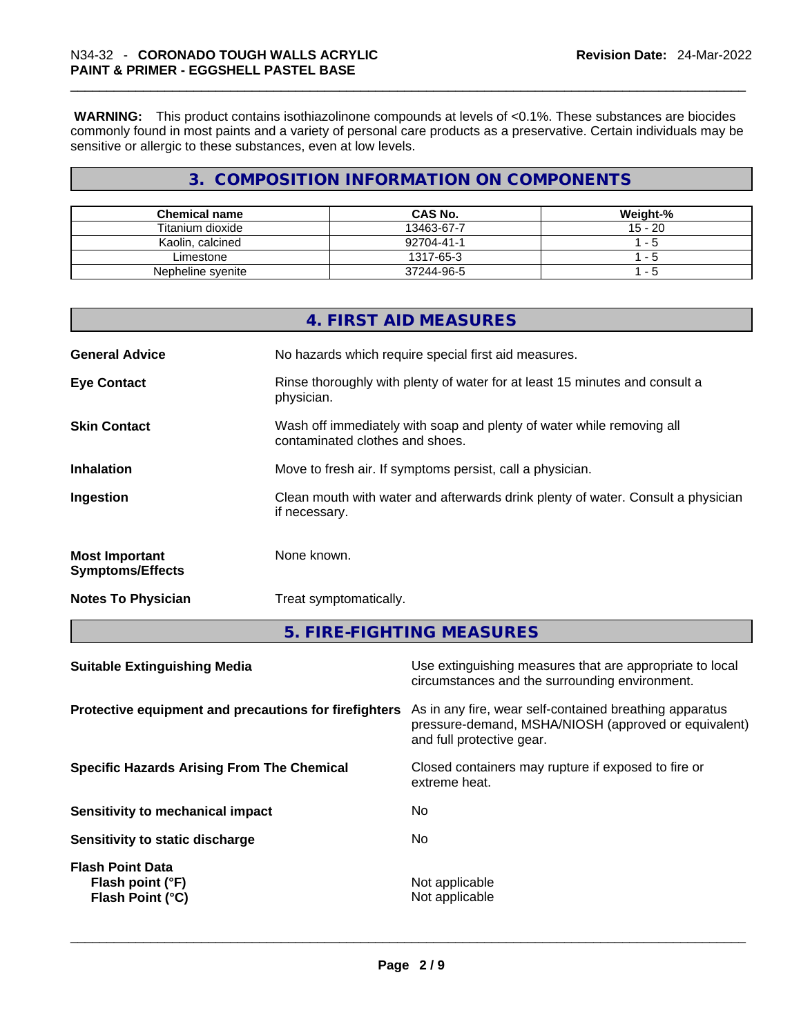**WARNING:** This product contains isothiazolinone compounds at levels of <0.1%. These substances are biocides commonly found in most paints and a variety of personal care products as a preservative. Certain individuals may be sensitive or allergic to these substances, even at low levels.

## **3. COMPOSITION INFORMATION ON COMPONENTS**

| <b>Chemical name</b> | CAS No.    | Weight-%  |
|----------------------|------------|-----------|
| Titanium dioxide     | 13463-67-7 | $15 - 20$ |
| Kaolin, calcined     | 92704-41-1 | -5        |
| Limestone            | 1317-65-3  | - 5       |
| Nepheline syenite    | 37244-96-5 | - 5       |

|                                                  | 4. FIRST AID MEASURES                                                                                    |
|--------------------------------------------------|----------------------------------------------------------------------------------------------------------|
| <b>General Advice</b>                            | No hazards which require special first aid measures.                                                     |
| <b>Eye Contact</b>                               | Rinse thoroughly with plenty of water for at least 15 minutes and consult a<br>physician.                |
| <b>Skin Contact</b>                              | Wash off immediately with soap and plenty of water while removing all<br>contaminated clothes and shoes. |
| <b>Inhalation</b>                                | Move to fresh air. If symptoms persist, call a physician.                                                |
| Ingestion                                        | Clean mouth with water and afterwards drink plenty of water. Consult a physician<br>if necessary.        |
| <b>Most Important</b><br><b>Symptoms/Effects</b> | None known.                                                                                              |
| <b>Notes To Physician</b>                        | Treat symptomatically.                                                                                   |

**5. FIRE-FIGHTING MEASURES** 

| <b>Suitable Extinguishing Media</b><br>circumstances and the surrounding environment.                                                                                                                 | Use extinguishing measures that are appropriate to local |
|-------------------------------------------------------------------------------------------------------------------------------------------------------------------------------------------------------|----------------------------------------------------------|
| Protective equipment and precautions for firefighters<br>As in any fire, wear self-contained breathing apparatus<br>pressure-demand, MSHA/NIOSH (approved or equivalent)<br>and full protective gear. |                                                          |
| Closed containers may rupture if exposed to fire or<br><b>Specific Hazards Arising From The Chemical</b><br>extreme heat.                                                                             |                                                          |
| No.<br>Sensitivity to mechanical impact                                                                                                                                                               |                                                          |
| No.<br>Sensitivity to static discharge                                                                                                                                                                |                                                          |
| <b>Flash Point Data</b><br>Not applicable<br>Flash point (°F)<br>Not applicable<br>Flash Point (°C)                                                                                                   |                                                          |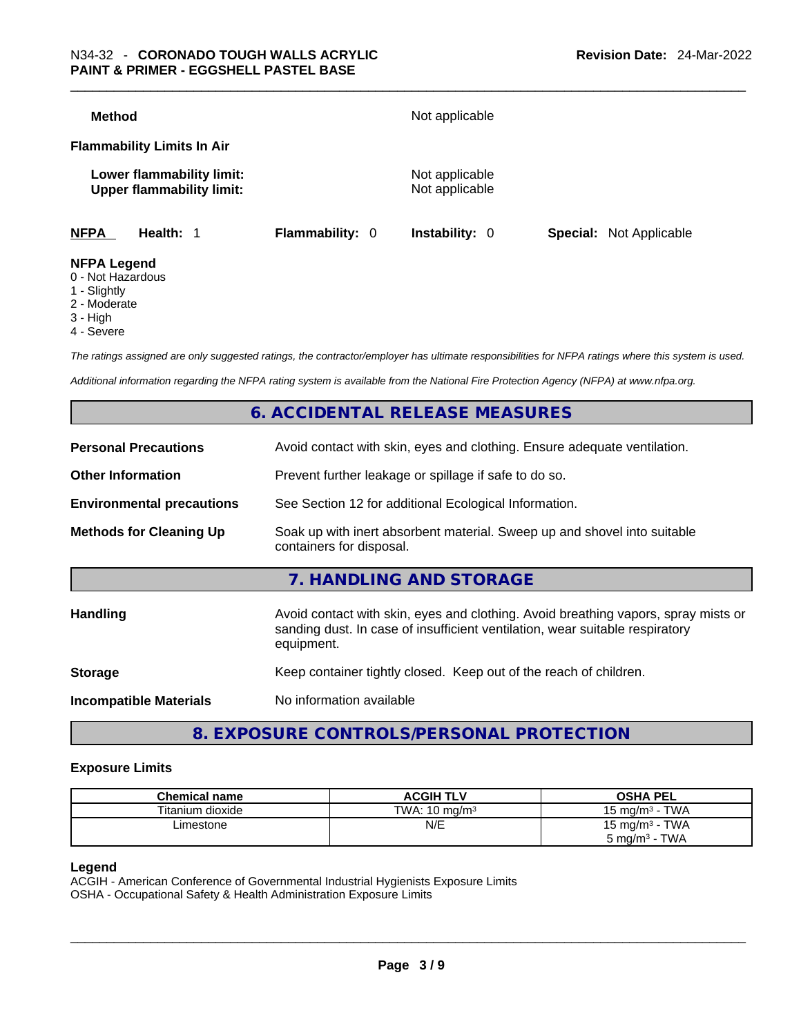| <b>Method</b>                                                 |                 | Not applicable                   |                                |
|---------------------------------------------------------------|-----------------|----------------------------------|--------------------------------|
| <b>Flammability Limits In Air</b>                             |                 |                                  |                                |
| Lower flammability limit:<br><b>Upper flammability limit:</b> |                 | Not applicable<br>Not applicable |                                |
| <b>NFPA</b><br>Health: 1                                      | Flammability: 0 | <b>Instability: 0</b>            | <b>Special:</b> Not Applicable |
| <b>NFPA Legend</b>                                            |                 |                                  |                                |

- 0 Not Hazardous
- 1 Slightly
- 2 Moderate
- 3 High
- 4 Severe

*The ratings assigned are only suggested ratings, the contractor/employer has ultimate responsibilities for NFPA ratings where this system is used.* 

*Additional information regarding the NFPA rating system is available from the National Fire Protection Agency (NFPA) at www.nfpa.org.* 

## **6. ACCIDENTAL RELEASE MEASURES**

| <b>Personal Precautions</b>      | Avoid contact with skin, eyes and clothing. Ensure adequate ventilation.                                                                                                         |
|----------------------------------|----------------------------------------------------------------------------------------------------------------------------------------------------------------------------------|
| <b>Other Information</b>         | Prevent further leakage or spillage if safe to do so.                                                                                                                            |
| <b>Environmental precautions</b> | See Section 12 for additional Ecological Information.                                                                                                                            |
| <b>Methods for Cleaning Up</b>   | Soak up with inert absorbent material. Sweep up and shovel into suitable<br>containers for disposal.                                                                             |
|                                  | 7. HANDLING AND STORAGE                                                                                                                                                          |
| <b>Handling</b>                  | Avoid contact with skin, eyes and clothing. Avoid breathing vapors, spray mists or<br>sanding dust. In case of insufficient ventilation, wear suitable respiratory<br>equipment. |
| <b>Storage</b>                   | Keep container tightly closed. Keep out of the reach of children.                                                                                                                |
| <b>Incompatible Materials</b>    | No information available                                                                                                                                                         |
|                                  |                                                                                                                                                                                  |

## **8. EXPOSURE CONTROLS/PERSONAL PROTECTION**

#### **Exposure Limits**

| <b>Chemical name</b> | <b>ACGIH TLV</b>         | <b>OSHA PEL</b>            |
|----------------------|--------------------------|----------------------------|
| Titanium dioxide     | TWA: $10 \text{ ma/m}^3$ | TWA<br>15 mg/m $3$         |
| ∟imestone            | N/E                      | 15 mg/m <sup>3</sup> - TWA |
|                      |                          | $5 \text{ mg/m}^3$ - TWA   |

#### **Legend**

ACGIH - American Conference of Governmental Industrial Hygienists Exposure Limits OSHA - Occupational Safety & Health Administration Exposure Limits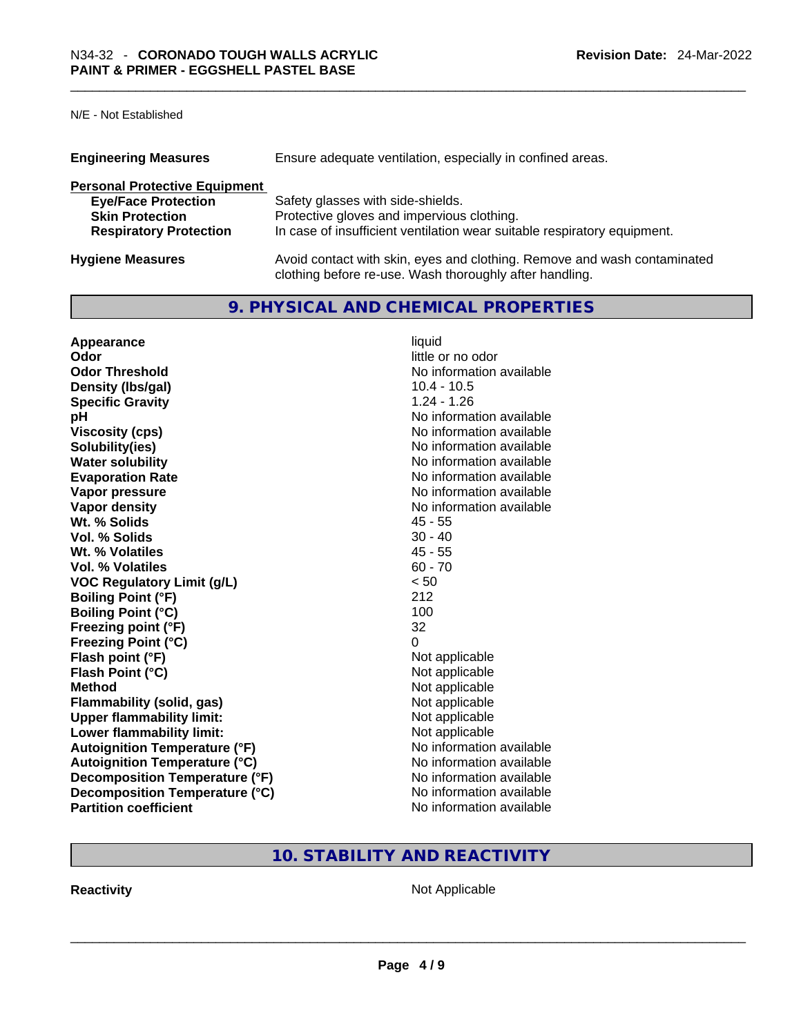N/E - Not Established

| <b>Engineering Measures</b>          | Ensure adequate ventilation, especially in confined areas.                                                                          |  |  |
|--------------------------------------|-------------------------------------------------------------------------------------------------------------------------------------|--|--|
| <b>Personal Protective Equipment</b> |                                                                                                                                     |  |  |
| <b>Eye/Face Protection</b>           | Safety glasses with side-shields.                                                                                                   |  |  |
| <b>Skin Protection</b>               | Protective gloves and impervious clothing.                                                                                          |  |  |
| <b>Respiratory Protection</b>        | In case of insufficient ventilation wear suitable respiratory equipment.                                                            |  |  |
| <b>Hygiene Measures</b>              | Avoid contact with skin, eyes and clothing. Remove and wash contaminated<br>clothing before re-use. Wash thoroughly after handling. |  |  |

## **9. PHYSICAL AND CHEMICAL PROPERTIES**

| Appearance                           | liquid                   |
|--------------------------------------|--------------------------|
| Odor                                 | little or no odor        |
| <b>Odor Threshold</b>                | No information available |
| Density (Ibs/gal)                    | $10.4 - 10.5$            |
| <b>Specific Gravity</b>              | $1.24 - 1.26$            |
| рH                                   | No information available |
| <b>Viscosity (cps)</b>               | No information available |
| Solubility(ies)                      | No information available |
| <b>Water solubility</b>              | No information available |
| <b>Evaporation Rate</b>              | No information available |
| Vapor pressure                       | No information available |
| Vapor density                        | No information available |
| Wt. % Solids                         | $45 - 55$                |
| Vol. % Solids                        | $30 - 40$                |
| Wt. % Volatiles                      | $45 - 55$                |
| Vol. % Volatiles                     | $60 - 70$                |
| <b>VOC Regulatory Limit (g/L)</b>    | < 50                     |
| <b>Boiling Point (°F)</b>            | 212                      |
| <b>Boiling Point (°C)</b>            | 100                      |
| Freezing point (°F)                  | 32                       |
| <b>Freezing Point (°C)</b>           | 0                        |
| Flash point (°F)                     | Not applicable           |
| Flash Point (°C)                     | Not applicable           |
| <b>Method</b>                        | Not applicable           |
| <b>Flammability (solid, gas)</b>     | Not applicable           |
| <b>Upper flammability limit:</b>     | Not applicable           |
| Lower flammability limit:            | Not applicable           |
| <b>Autoignition Temperature (°F)</b> | No information available |
| <b>Autoignition Temperature (°C)</b> | No information available |
| Decomposition Temperature (°F)       | No information available |
| Decomposition Temperature (°C)       | No information available |
| <b>Partition coefficient</b>         | No information available |

## **10. STABILITY AND REACTIVITY**

**Reactivity** Not Applicable \_\_\_\_\_\_\_\_\_\_\_\_\_\_\_\_\_\_\_\_\_\_\_\_\_\_\_\_\_\_\_\_\_\_\_\_\_\_\_\_\_\_\_\_\_\_\_\_\_\_\_\_\_\_\_\_\_\_\_\_\_\_\_\_\_\_\_\_\_\_\_\_\_\_\_\_\_\_\_\_\_\_\_\_\_\_\_\_\_\_\_\_\_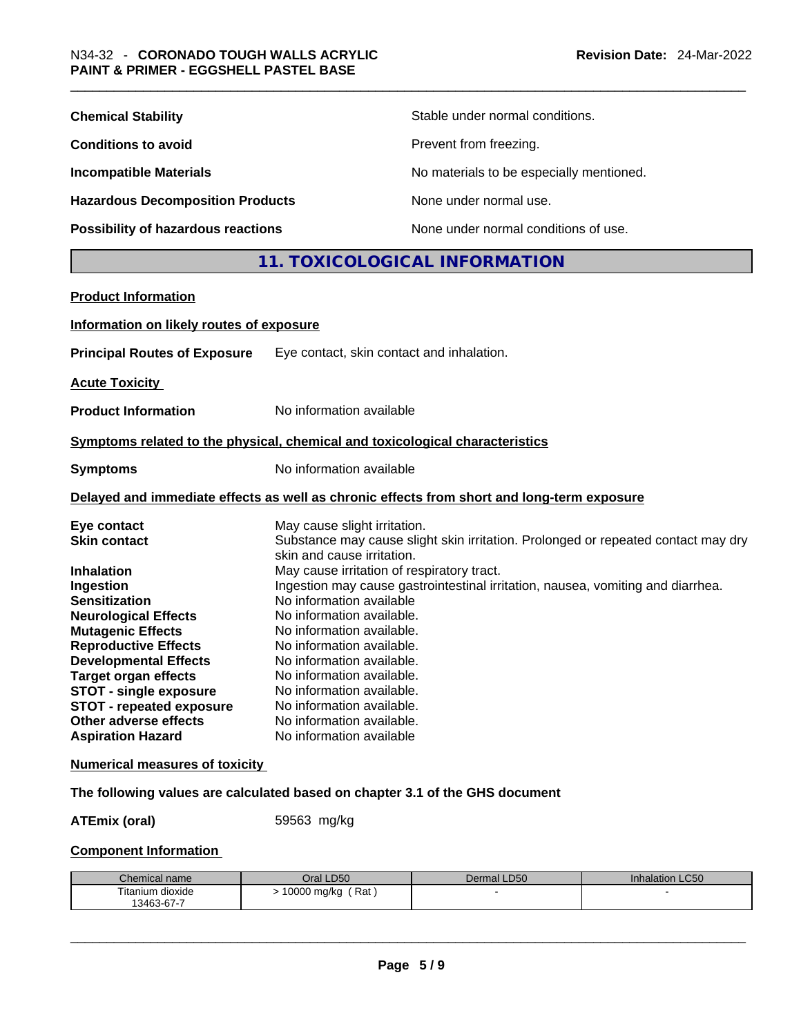| <b>Chemical Stability</b>                                                                                                                                                                                                                                                                                                                                                         |                                                                                                                                                                                                                                                                                                                                            | Stable under normal conditions.                                                            |
|-----------------------------------------------------------------------------------------------------------------------------------------------------------------------------------------------------------------------------------------------------------------------------------------------------------------------------------------------------------------------------------|--------------------------------------------------------------------------------------------------------------------------------------------------------------------------------------------------------------------------------------------------------------------------------------------------------------------------------------------|--------------------------------------------------------------------------------------------|
| <b>Conditions to avoid</b>                                                                                                                                                                                                                                                                                                                                                        |                                                                                                                                                                                                                                                                                                                                            | Prevent from freezing.                                                                     |
| <b>Incompatible Materials</b>                                                                                                                                                                                                                                                                                                                                                     |                                                                                                                                                                                                                                                                                                                                            | No materials to be especially mentioned.                                                   |
| <b>Hazardous Decomposition Products</b>                                                                                                                                                                                                                                                                                                                                           |                                                                                                                                                                                                                                                                                                                                            | None under normal use.                                                                     |
| Possibility of hazardous reactions                                                                                                                                                                                                                                                                                                                                                |                                                                                                                                                                                                                                                                                                                                            | None under normal conditions of use.                                                       |
|                                                                                                                                                                                                                                                                                                                                                                                   |                                                                                                                                                                                                                                                                                                                                            | 11. TOXICOLOGICAL INFORMATION                                                              |
| <b>Product Information</b>                                                                                                                                                                                                                                                                                                                                                        |                                                                                                                                                                                                                                                                                                                                            |                                                                                            |
| Information on likely routes of exposure                                                                                                                                                                                                                                                                                                                                          |                                                                                                                                                                                                                                                                                                                                            |                                                                                            |
| <b>Principal Routes of Exposure</b>                                                                                                                                                                                                                                                                                                                                               | Eye contact, skin contact and inhalation.                                                                                                                                                                                                                                                                                                  |                                                                                            |
| <b>Acute Toxicity</b>                                                                                                                                                                                                                                                                                                                                                             |                                                                                                                                                                                                                                                                                                                                            |                                                                                            |
| <b>Product Information</b>                                                                                                                                                                                                                                                                                                                                                        | No information available                                                                                                                                                                                                                                                                                                                   |                                                                                            |
| Symptoms related to the physical, chemical and toxicological characteristics                                                                                                                                                                                                                                                                                                      |                                                                                                                                                                                                                                                                                                                                            |                                                                                            |
|                                                                                                                                                                                                                                                                                                                                                                                   | No information available                                                                                                                                                                                                                                                                                                                   |                                                                                            |
| <b>Symptoms</b>                                                                                                                                                                                                                                                                                                                                                                   |                                                                                                                                                                                                                                                                                                                                            |                                                                                            |
|                                                                                                                                                                                                                                                                                                                                                                                   |                                                                                                                                                                                                                                                                                                                                            | Delayed and immediate effects as well as chronic effects from short and long-term exposure |
| Eye contact<br><b>Skin contact</b>                                                                                                                                                                                                                                                                                                                                                | May cause slight irritation.<br>skin and cause irritation.                                                                                                                                                                                                                                                                                 | Substance may cause slight skin irritation. Prolonged or repeated contact may dry          |
| <b>Inhalation</b><br>Ingestion<br><b>Sensitization</b><br><b>Neurological Effects</b><br><b>Mutagenic Effects</b><br><b>Reproductive Effects</b><br><b>Developmental Effects</b><br><b>Target organ effects</b><br><b>STOT - single exposure</b><br><b>STOT - repeated exposure</b><br>Other adverse effects<br><b>Aspiration Hazard</b><br><b>Numerical measures of toxicity</b> | May cause irritation of respiratory tract.<br>No information available<br>No information available.<br>No information available.<br>No information available.<br>No information available.<br>No information available.<br>No information available.<br>No information available.<br>No information available.<br>No information available | Ingestion may cause gastrointestinal irritation, nausea, vomiting and diarrhea.            |
| The following values are calculated based on chapter 3.1 of the GHS document                                                                                                                                                                                                                                                                                                      |                                                                                                                                                                                                                                                                                                                                            |                                                                                            |
| <b>ATEmix (oral)</b>                                                                                                                                                                                                                                                                                                                                                              | 59563 mg/kg                                                                                                                                                                                                                                                                                                                                |                                                                                            |
| <b>Component Information</b>                                                                                                                                                                                                                                                                                                                                                      |                                                                                                                                                                                                                                                                                                                                            |                                                                                            |
|                                                                                                                                                                                                                                                                                                                                                                                   |                                                                                                                                                                                                                                                                                                                                            |                                                                                            |

| Chemical name    | Oral LD50                   | Dermal LD50 | <b>Inhalation LC50</b> |
|------------------|-----------------------------|-------------|------------------------|
| Titanium dioxide | . Rat<br>10000 mg/kg<br>. . |             |                        |
| 13463-67-7       |                             |             |                        |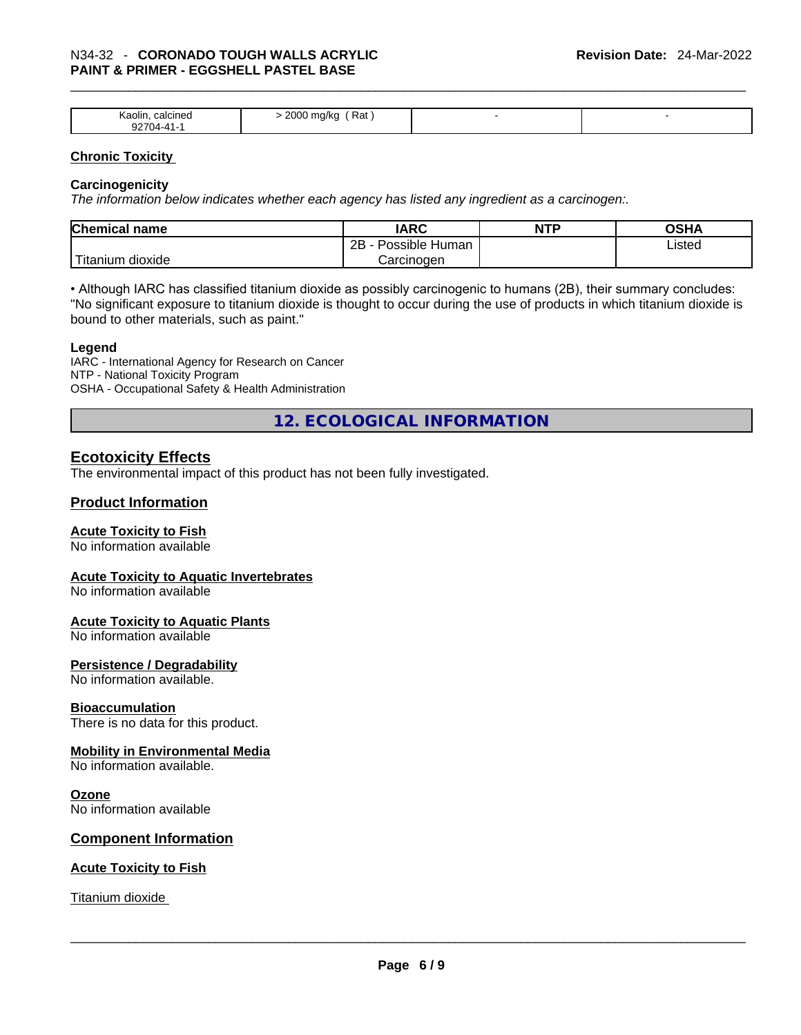## \_\_\_\_\_\_\_\_\_\_\_\_\_\_\_\_\_\_\_\_\_\_\_\_\_\_\_\_\_\_\_\_\_\_\_\_\_\_\_\_\_\_\_\_\_\_\_\_\_\_\_\_\_\_\_\_\_\_\_\_\_\_\_\_\_\_\_\_\_\_\_\_\_\_\_\_\_\_\_\_\_\_\_\_\_\_\_\_\_\_\_\_\_ N34-32 - **CORONADO TOUGH WALLS ACRYLIC PAINT & PRIMER - EGGSHELL PASTEL BASE**

| Kaolir<br>calcined<br>nn-<br>$7704-$ | 2000<br>Rat<br>ma/ka<br>$\cdot$ $\cdot$<br>$\cdots$<br>ີ |  |
|--------------------------------------|----------------------------------------------------------|--|

#### **Chronic Toxicity**

#### **Carcinogenicity**

*The information below indicates whether each agency has listed any ingredient as a carcinogen:.* 

| <b>Chemical name</b>  | IARC                 | <b>NTP</b> | OSHA   |
|-----------------------|----------------------|------------|--------|
|                       | Possible Human<br>2B |            | Listed |
| Titanium 、<br>dioxide | Carcinoɑen           |            |        |

• Although IARC has classified titanium dioxide as possibly carcinogenic to humans (2B), their summary concludes: "No significant exposure to titanium dioxide is thought to occur during the use of products in which titanium dioxide is bound to other materials, such as paint."

#### **Legend**

IARC - International Agency for Research on Cancer NTP - National Toxicity Program OSHA - Occupational Safety & Health Administration

**12. ECOLOGICAL INFORMATION** 

### **Ecotoxicity Effects**

The environmental impact of this product has not been fully investigated.

#### **Product Information**

#### **Acute Toxicity to Fish**

No information available

#### **Acute Toxicity to Aquatic Invertebrates**

No information available

#### **Acute Toxicity to Aquatic Plants**

No information available

#### **Persistence / Degradability**

No information available.

#### **Bioaccumulation**

There is no data for this product.

#### **Mobility in Environmental Media**

No information available.

#### **Ozone**

No information available

#### **Component Information**

#### **Acute Toxicity to Fish**

Titanium dioxide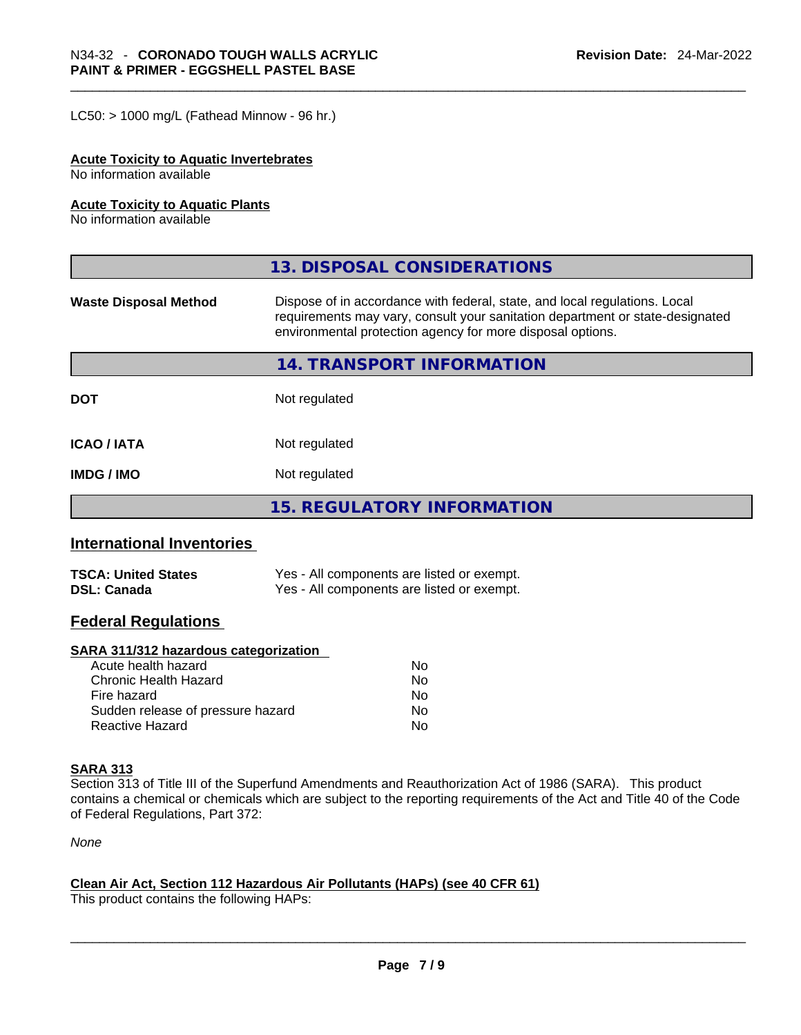$LC50:$  > 1000 mg/L (Fathead Minnow - 96 hr.)

#### **Acute Toxicity to Aquatic Invertebrates**

No information available

#### **Acute Toxicity to Aquatic Plants**

No information available

|                              | 13. DISPOSAL CONSIDERATIONS                                                                                                                                                                                               |
|------------------------------|---------------------------------------------------------------------------------------------------------------------------------------------------------------------------------------------------------------------------|
| <b>Waste Disposal Method</b> | Dispose of in accordance with federal, state, and local regulations. Local<br>requirements may vary, consult your sanitation department or state-designated<br>environmental protection agency for more disposal options. |
|                              | 14. TRANSPORT INFORMATION                                                                                                                                                                                                 |
| <b>DOT</b>                   | Not regulated                                                                                                                                                                                                             |
| <b>ICAO/IATA</b>             | Not regulated                                                                                                                                                                                                             |
| <b>IMDG / IMO</b>            | Not regulated                                                                                                                                                                                                             |
|                              | 15. REGULATORY INFORMATION                                                                                                                                                                                                |

#### **International Inventories**

| <b>TSCA: United States</b> | Yes - All components are listed or exempt. |
|----------------------------|--------------------------------------------|
| <b>DSL: Canada</b>         | Yes - All components are listed or exempt. |

### **Federal Regulations**

#### **SARA 311/312 hazardous categorization**

| No  |
|-----|
| Nο  |
| No  |
| No. |
| N∩  |
|     |

#### **SARA 313**

Section 313 of Title III of the Superfund Amendments and Reauthorization Act of 1986 (SARA). This product contains a chemical or chemicals which are subject to the reporting requirements of the Act and Title 40 of the Code of Federal Regulations, Part 372:

*None*

#### **Clean Air Act,Section 112 Hazardous Air Pollutants (HAPs) (see 40 CFR 61)**

This product contains the following HAPs: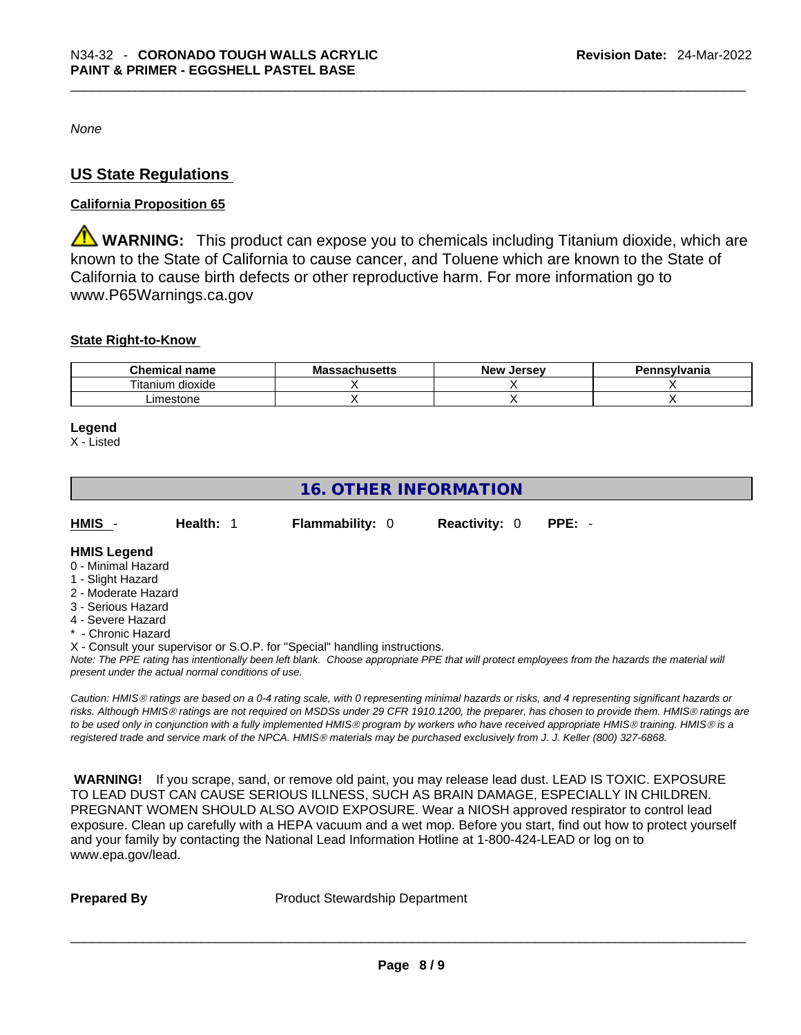*None*

## **US State Regulations**

#### **California Proposition 65**

**WARNING:** This product can expose you to chemicals including Titanium dioxide, which are known to the State of California to cause cancer, and Toluene which are known to the State of California to cause birth defects or other reproductive harm. For more information go to www.P65Warnings.ca.gov

#### **State Right-to-Know**

| Chemical<br>name                | chusetts<br>Mas | New<br>. Jersev | nnsylvania |
|---------------------------------|-----------------|-----------------|------------|
| <br>÷.,<br>dioxide<br>I itanium |                 |                 |            |
| .imestone                       |                 |                 |            |

#### **Legend**

X - Listed

## **16. OTHER INFORMATION**

| HMIS -<br><b>Flammability: 0</b><br><b>Reactivity: 0 PPE: -</b><br><b>Health: 1</b> |
|-------------------------------------------------------------------------------------|
|-------------------------------------------------------------------------------------|

#### **HMIS Legend**

- 0 Minimal Hazard
- 1 Slight Hazard
- 2 Moderate Hazard
- 3 Serious Hazard
- 4 Severe Hazard
- \* Chronic Hazard

X - Consult your supervisor or S.O.P. for "Special" handling instructions.

Note: The PPE rating has intentionally been left blank. Choose appropriate PPE that will protect employees from the hazards the material will *present under the actual normal conditions of use.* 

*Caution: HMISÒ ratings are based on a 0-4 rating scale, with 0 representing minimal hazards or risks, and 4 representing significant hazards or risks. Although HMISÒ ratings are not required on MSDSs under 29 CFR 1910.1200, the preparer, has chosen to provide them. HMISÒ ratings are to be used only in conjunction with a fully implemented HMISÒ program by workers who have received appropriate HMISÒ training. HMISÒ is a registered trade and service mark of the NPCA. HMISÒ materials may be purchased exclusively from J. J. Keller (800) 327-6868.* 

 **WARNING!** If you scrape, sand, or remove old paint, you may release lead dust. LEAD IS TOXIC. EXPOSURE TO LEAD DUST CAN CAUSE SERIOUS ILLNESS, SUCH AS BRAIN DAMAGE, ESPECIALLY IN CHILDREN. PREGNANT WOMEN SHOULD ALSO AVOID EXPOSURE.Wear a NIOSH approved respirator to control lead exposure. Clean up carefully with a HEPA vacuum and a wet mop. Before you start, find out how to protect yourself and your family by contacting the National Lead Information Hotline at 1-800-424-LEAD or log on to www.epa.gov/lead.

**Prepared By Product Stewardship Department**